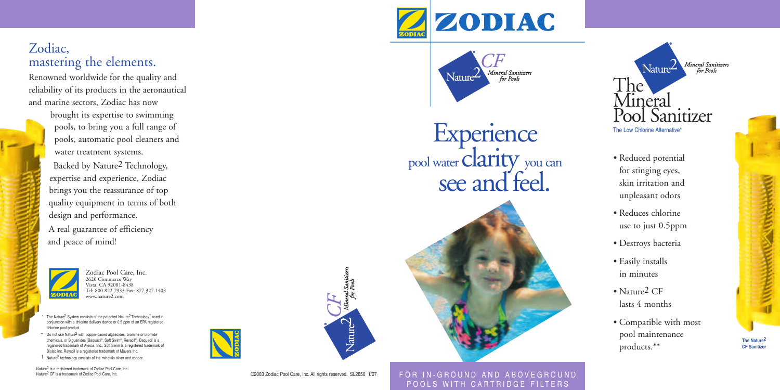## Zodiac, mastering the elements.

Renowned worldwide for the quality and reliability of its products in the aeronautical and marine sectors, Zodiac has now

> brought its expertise to swimming pools, to bring you a full range of pools, automatic pool cleaners and water treatment systems. Backed by Nature 2 Technology, expertise and experience, Zodiac brings you the reassurance of top quality equipment in terms of both design and performance. A real guarantee of efficiency and peace of mind!



Zodiac Pool Care, Inc. 2620 Commerce Way Vista, CA 92081-8438 Tel: 800.822.7933 Fax: 877.327.1403 www.nature2.com

\* The Nature<sup>2</sup> System consists of the patented Nature<sup>2</sup> Technology<sup>†</sup> used in conjunction with a chlorine delivery device or 0.5 ppm of an EPA registered chlorine pool product.

- \*\* Do not use Nature<sup>2</sup> with copper-based algaecides, bromine or bromide chemicals, or Biguanides (Baquacil®, Soft Swim®, Revacil®). Baquacil is a registered trademark of Avecia, Inc., Soft Swim is a registered trademark of Biolab,Inc. Revacil is a registered trademark of Mavera Inc.
- † Nature 2 technology consists of the minerals silver and copper.

Nature 2 is a registered trademark of Zodiac Pool Care, Inc. Nature<sup>2</sup> CF is a trademark of Zodiac Pool Care, Inc





**Experience** pool water **Clarity** you can see and feel.

**FURNACION** POOLS WITH CARTRIDGE FILTERS

Mineral Sanitizers

for Pools





- Reduced potential for stinging eyes, skin irritation and unpleasant odors
- Reduces chlorine use to just 0.5ppm
- Destroys bacteria
- Easily installs in minutes
- Nature<sup>2</sup> CF lasts 4 months
- Compatible with most pool maintenance products.\*\*

**The Nature 2 CF Sanitize** 

©2003 Zodiac Pool Care, Inc. All rights reserved. SL2650 1/07

 $\chi_{\text{auto}}$ 

FOR IN-GROUND AND ABOVEGROUND POOLS WITH CARTRIDGE FILTERS